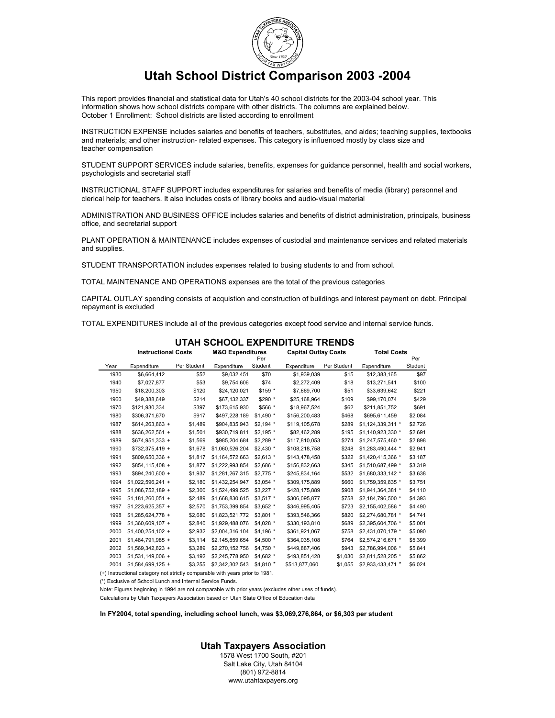

# **Utah School District Comparison 2003 -2004**

This report provides financial and statistical data for Utah's 40 school districts for the 2003-04 school year. This information shows how school districts compare with other districts. The columns are explained below. October 1 Enrollment: School districts are listed according to enrollment

INSTRUCTION EXPENSE includes salaries and benefits of teachers, substitutes, and aides; teaching supplies, textbooks and materials; and other instruction- related expenses. This category is influenced mostly by class size and teacher compensation

STUDENT SUPPORT SERVICES include salaries, benefits, expenses for guidance personnel, health and social workers, psychologists and secretarial staff

INSTRUCTIONAL STAFF SUPPORT includes expenditures for salaries and benefits of media (library) personnel and clerical help for teachers. It also includes costs of library books and audio-visual material

ADMINISTRATION AND BUSINESS OFFICE includes salaries and benefits of district administration, principals, business office, and secretarial support

PLANT OPERATION & MAINTENANCE includes expenses of custodial and maintenance services and related materials and supplies.

STUDENT TRANSPORTATION includes expenses related to busing students to and from school.

TOTAL MAINTENANCE AND OPERATIONS expenses are the total of the previous categories

CAPITAL OUTLAY spending consists of acquistion and construction of buildings and interest payment on debt. Principal repayment is excluded

TOTAL EXPENDITURES include all of the previous categories except food service and internal service funds.

|      | <b>Instructional Costs</b> |             | <b>M&amp;O Expenditures</b> | Per        | <b>Capital Outlay Costs</b> |             | <b>Total Costs</b><br>Per |         |
|------|----------------------------|-------------|-----------------------------|------------|-----------------------------|-------------|---------------------------|---------|
| Year | Expenditure                | Per Student | Expenditure                 | Student    | Expenditure                 | Per Student | Expenditure               | Student |
| 1930 | \$6,664,412                | \$52        | \$9,032,451                 | \$70       | \$1,939,039                 | \$15        | \$12,383,165              | \$97    |
| 1940 | \$7,027,877                | \$53        | \$9,754,606                 | \$74       | \$2,272,409                 | \$18        | \$13,271,541              | \$100   |
| 1950 | \$18,200,303               | \$120       | \$24,120,021                | \$159 *    | \$7,669,700                 | \$51        | \$33,639,642              | \$221   |
| 1960 | \$49,388,649               | \$214       | \$67,132,337                | \$290 *    | \$25,168,964                | \$109       | \$99,170,074              | \$429   |
| 1970 | \$121,930,334              | \$397       | \$173,615,930               | \$566 *    | \$18,967,524                | \$62        | \$211,851,752             | \$691   |
| 1980 | \$306.371.670              | \$917       | \$497.228.189               | $$1.490$ * | \$156,200,483               | \$468       | \$695.611.459             | \$2,084 |
| 1987 | $$614,263,863 +$           | \$1,489     | \$904,835,943               | $$2.194$ * | \$119,105,678               | \$289       | \$1,124,339,311 *         | \$2,726 |
| 1988 | \$636.262.561 +            | \$1,501     | \$930,719,811               | $$2.195$ * | \$82,462,289                | \$195       | \$1,140,923,330 *         | \$2,691 |
| 1989 | $$674,951,333 +$           | \$1,569     | \$985,204,684               | $$2,289$ * | \$117,810,053               | \$274       | \$1,247,575,460 *         | \$2,898 |
| 1990 | \$732,375,419 +            | \$1,678     | \$1,060,526,204             | $$2,430$ * | \$108,218,758               | \$248       | \$1,283,490,444 *         | \$2,941 |
| 1991 | \$809.650.336 +            | \$1.817     | \$1.164.572.663             | $$2.613$ * | \$143,478,458               | \$322       | \$1,420,415,366 *         | \$3,187 |
| 1992 | $$854,115,408 +$           | \$1,877     | \$1,222,993,854             | \$2,686 *  | \$156,832,663               | \$345       | \$1,510,687,499 *         | \$3,319 |
| 1993 | \$894.240.600 +            | \$1,937     | \$1,281,267,315             | $$2.775$ * | \$245,834,164               | \$532       | \$1,680,333,142 *         | \$3,638 |
| 1994 | \$1,022,596,241 +          | \$2,180     | \$1,432,254,947             | $$3,054$ * | \$309,175,889               | \$660       | \$1,759,359,835 *         | \$3,751 |
| 1995 | $$1,086,752,189 +$         | \$2,300     | \$1,524,499,525             | $$3,227$ * | \$428,175,889               | \$908       | \$1,941,364,381 *         | \$4,110 |
| 1996 | $$1,181,260,051 +$         | \$2,489     | \$1,668,830,615             | $$3,517$ * | \$306,095,877               | \$758       | \$2,184,796,500 *         | \$4,393 |
| 1997 | $$1,223.625.357 +$         | \$2,570     | \$1,753,399,854             | $$3.652*$  | \$346,995,405               | \$723       | \$2,155,402,586 *         | \$4,490 |
| 1998 | \$1.285.624.778 +          | \$2,680     | \$1,823,521,772             | $$3,801$ * | \$393,546,366               | \$820       | \$2,274,680,781 *         | \$4,741 |
| 1999 | \$1,360,609,107 +          | \$2,840     | \$1,929,488,076             | \$4,028 *  | \$330,193,810               | \$689       | \$2,395,604,706 *         | \$5,001 |
| 2000 | $$1,400,254,102 +$         | \$2,932     | \$2,004,316,104             | \$4,196 *  | \$361,921,067               | \$758       | \$2,431,070,179 *         | \$5,090 |
| 2001 | \$1,484,791,985 +          | \$3,114     | \$2,145,859,654             | \$4,500 *  | \$364,035,108               | \$764       | \$2,574,216,671 *         | \$5,399 |
| 2002 | \$1,569,342,823 +          | \$3,289     | \$2,270,152,756             | \$4,750 *  | \$449,887,406               | \$943       | \$2,786,994,006 *         | \$5,841 |
| 2003 | $$1.531.149.006 +$         | \$3,192     | \$2,245,778,950             | $$4.682*$  | \$493,851,428               | \$1,030     | \$2,811,528,205 *         | \$5,862 |
| 2004 | $$1,584,699,125 +$         | \$3,255     | \$2,342,302,543             | \$4,810 *  | \$513,877,060               | \$1,055     | \$2,933,433,471 *         | \$6,024 |

#### **UTAH SCHOOL EXPENDITURE TRENDS**

(+) Instructional category not strictly comparable with years prior to 1981.

(\*) Exclusive of School Lunch and Internal Service Funds.

Note: Figures beginning in 1994 are not comparable with prior years (excludes other uses of funds).

Calculations by Utah Taxpayers Association based on Utah State Office of Education data

**In FY2004, total spending, including school lunch, was \$3,069,276,864, or \$6,303 per student**

**Utah Taxpayers Association**

1578 West 1700 South, #201 Salt Lake City, Utah 84104 (801) 972-8814 www.utahtaxpayers.org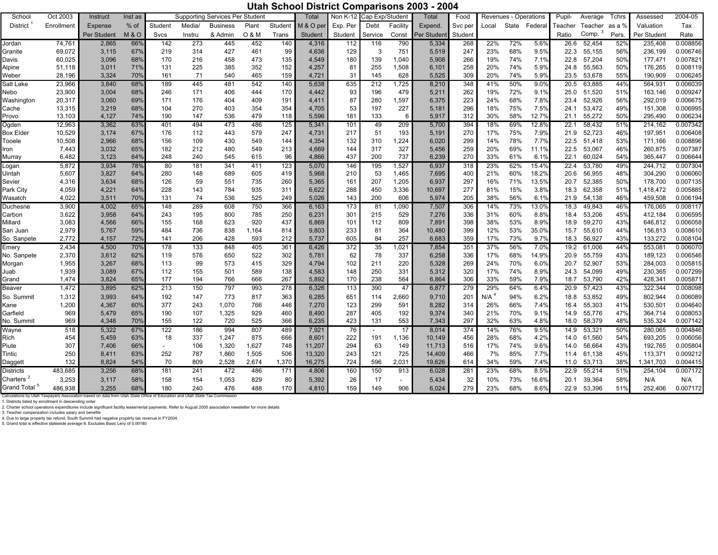### **Utah School District Comparisons 2003 - 2004**

| School                   | Oct 2003       | Instruct       | Inst as        |            |            | Supporting Services Per Student |            |            | Total          | <b>Non K-12</b> | Cap Exp/Student |                | Total           | Food       |                  | Revenues - Operations |                | Pupil-       | Average          | Tchrs      | Assessed           | 2004-05              |
|--------------------------|----------------|----------------|----------------|------------|------------|---------------------------------|------------|------------|----------------|-----------------|-----------------|----------------|-----------------|------------|------------------|-----------------------|----------------|--------------|------------------|------------|--------------------|----------------------|
| <b>District</b>          | Enrollment     | Expense        | $%$ of         | Student    | Media/     | <b>Business</b>                 | Plant      | Student    | M & O per      | Exp. Per        | Debt            | Facility       | Expend.         | Svc per    | Local            | State                 | Federal        | Teacher      | Teacher          | as a %     | Valuation          | Tax                  |
|                          |                | Per Student    | <b>M&amp;O</b> | Svcs       | Instru     | & Admin                         | 0 & M      | Trans      | Student        | Student         | Service         | Const          | Per Studen      | Student    |                  |                       |                | Ratio        | Comp.            | Pers.      | Per Student        | Rate                 |
| Jordan                   | 74,761         | 2,865          | 66%            | 142        | 273        | 445                             | 452        | 140        | 4,316          | 112             | 116             | 790            | 5,334           | 268        | 22%              | 72%                   | 5.6%           | 26.6         | 52,454           | 52%        | 235,408            | 0.008856             |
| Granite                  | 69,072         | 3,115          | 67%            | 219        | 314        | 427                             | 461        | 99         | 4,636          | 129             | 3               | 751            | 5,519           | 247        | 23%              | 68%                   | 9.5%           | 22.3         | 55,155           | 56%        | 236,199            | 0.006746             |
| Davis                    | 60,025         | 3,096          | 68%            | 170        | 216        | 458                             | 473        | 135        | 4,549          | 180             | 139             | 1,040          | 5,908           | 266        | 19%              | 74%                   | 7.1%           | 22.8         | 57,204           | 50%        | 177.471            | 0.007821             |
| Alpine                   | 51,118         | 3,011          | 71%            | 131        | 225        | 385                             | 352        | 152        | 4,257          | 81              | 255             | 1,508          | 6,101           | 258        | 20%              | 74%                   | 5.9%           | 24.8         | 55,563           | 50%        | 176,265            | 0.008119             |
| Weber                    | 28,196         | 3,324          | 70%            | 161        | 71         | 540                             | 465        | 159        | 4,721          | 31              | 145             | 628            | 5,525           | 309        | 20%              | 74%                   | 5.9%           | 23.5         | 53,678           | 55%        | 190,909            | 0.006245             |
| Salt Lake                | 23,966         | 3,840          | 68%            | 189        | 445        | 481                             | 542        | 140        | 5,638          | 635             | 212             | 1,725          | 8,210           | 348        | 41%              | 50%                   | 9.0%           | 20.5         | 63,885           | 44%        | 564,931            | 0.006039             |
| Nebo                     | 23,900         | 3,004          | 68%            | 246        | 171        | 406                             | 444        | 170        | 4,442          | 93              | 196             | 479            | 5,211           | 262        | 19%              | 72%                   | 9.1%           | 25.0         | 51,520           | 51%        | 163,146            | 0.009247             |
| Washington               | 20,317         | 3,060          | 69%            | 171        | 176        | 404                             | 409        | 191        | 4,411          | 87              | 280             | 1,597          | 6,375           | 223        | 24%              | 68%                   | 7.8%           | 23.4         | 52,926           | 56%        | 292,019            | 0.006675             |
| Cache                    | 13,315         | 3,219          | 68%            | 104        | 270        | 403                             | 354        | 354        | 4,705          | 53              | 197             | 227            | 5,181           | 296        | 18%              | 75%                   | 7.5%           | 24.1         | 53,472           | 49%        | 151,308            | 0.006995             |
| Provo                    | 13,103         | 4,127          | 74%            | 190        | 147        | 536                             | 479        | 118        | 5,596          | 181             | 133             | 6              | 5,917           | 312        | 30%              | 58%                   | 12.7%          | 21.1         | 55,272           | 50%        | 295.490            | 0.006234             |
| Ogden                    | 12,963         | 3,362          | 63%            | 401        | 494        | 473                             | 486        | 125        | 5,341          | 101             | 49              | 209            | 5,700           | 394        | 18%              | 69%                   | 12.8%          | 22.1         | 58,432           | 51%        | 214,162            | 0.007342             |
| <b>Box Elder</b>         | 10,529         | 3,174          | 67%            | 176        | 112        | 443                             | 579        | 247        | 4,731          | 217             | 51              | 193            | 5,191           | 270        | 17%              | 75%                   | 7.9%           | 21.9         | 52,723           | 46%        | 197,951            | 0.006408             |
| Tooele                   | 10,508         | 2,966          | 68%            | 156        | 109        | 430                             | 549        | 144        | 4,354          | 132             | 310             | 1,224          | 6,020           | 299        | 14%              | 78%                   | 7.7%           | 22.5         | 51,418           | 53%        | 171,166            | 0.008896<br>0.007387 |
| lron                     | 7,443          | 3,032          | 65%            | 182        | 212        | 480                             | 549        | 213        | 4,669          | 144             | 317             | 327            | 5,456           | 259<br>270 | 20%              | 69%                   | 11.1%          | 22.5         | 53,067           | 46%        | 260,875            |                      |
| Murray                   | 6,482          | 3,123          | 64%            | 248        | 240        | 545                             | 615        | 96         | 4,866          | 437             | 200             | 737            | 6,239           |            | 33%              | 61%                   | 6.1%           | 22.1         | 60,024           | 54%        | 365,447            | 0.006644             |
| Logan                    | 5,872<br>5,607 | 3,934<br>3,827 | 78%<br>64%     | 80         | 181<br>148 | 341                             | 411        | 123        | 5,070          | 146             | 195             | 1,527<br>1,465 | 6,937           | 318        | 23%<br>21%       | 62%<br>60%            | 15.4%<br>18.2% | 22.4         | 53,780<br>56,955 | 49%<br>48% | 244,712<br>304,290 | 0.007304<br>0.006060 |
| Uintah                   |                | 3,634          | 68%            | 280<br>126 | 59         | 689                             | 605<br>735 | 419<br>260 | 5,968          | 210<br>161      | 53<br>207       | 1,205          | 7,695           | 400<br>297 | 16%              | 71%                   | 13.5%          | 20.6<br>20.7 | 52,385           | 50%        | 178,700            | 0.007135             |
| Sevier<br>Park City      | 4,316<br>4,059 | 4,221          | 64%            | 228        | 143        | 551<br>784                      | 935        | 311        | 5,365<br>6,622 | 288             | 450             | 3,336          | 6,937<br>10,697 | 277        | 81%              | 15%                   | 3.8%           | 18.3         | 62,358           | 51%        | 1,418,472          | 0.005885             |
| Wasatch                  | 4,022          | 3,511          | 70%            | 131        | 74         | 536                             | 525        | 249        | 5,026          | 143             | 200             | 606            | 5,974           | 205        | 38%              | 56%                   | 6.1%           | 21.9         | 54,138           | 46%        | 459,508            | 0.006194             |
| Duchesne                 | 3,900          | 4,002          | 65%            | 148        | 289        | 608                             | 750        | 366        | 6,163          | 173             | 81              | 1,090          | 7,507           | 306        | 14%              | 73%                   | 13.0%          | 18.3         | 49,843           | 46%        | 176,065            | 0.008117             |
| Carbon                   | 3,622          | 3,958          | 64%            | 243        | 195        | 800                             | 785        | 250        | 6,231          | 301             | 215             | 529            | 7,276           | 336        | 31%              | 60%                   | 8.8%           | 18.4         | 53,206           | 45%        | 412,184            | 0.006595             |
| Millard                  | 3,083          | 4,566          | 66%            | 155        | 168        | 623                             | 920        | 437        | 6,869          | 101             | 112             | 809            | 7,891           | 398        | 38%              | 53%                   | 8.9%           | 18.9         | 59,270           | 43%        | 646.812            | 0.006058             |
| San Juan                 | 2,979          | 5,767          | 59%            | 484        | 736        | 838                             | 1.164      | 814        | 9,803          | 233             | 81              | 364            | 10,480          | 399        | 12%              | 53%                   | 35.0%          | 15.7         | 55,610           | 44%        | 156,813            | 0.008610             |
| So. Sanpete              | 2,772          | 4,157          | 72%            | 141        | 206        | 428                             | 593        | 212        | 5,737          | 605             | 84              | 257            | 6,683           | 359        | 17%              | 73%                   | 9.7%           | 18.3         | 56,927           | 43%        | 133,272            | 0.008104             |
| Emery                    | 2,434          | 4,500          | 70%            | 178        | 133        | 848                             | 405        | 361        | 6,426          | 372             | 35              | ,021           | 7,854           | 351        | 37%              | 56%                   | 7.0%           | 19.2         | 61,006           | 44%        | 553,081            | 0.006070             |
| No. Sanpete              | 2,370          | 3,612          | 62%            | 119        | 576        | 650                             | 522        | 302        | 5,781          | 62              | 78              | 337            | 6,258           | 336        | 17%              | 68%                   | 14.9%          | 20.9         | 55,759           | 43%        | 189,123            | 0.006546             |
| Morgan                   | 1,955          | 3,267          | 68%            | 113        | 99         | 573                             | 415        | 329        | 4,794          | 102             | 211             | 220            | 5,328           | 269        | 24%              | 70%                   | 6.0%           | 20.7         | 52,907           | 53%        | 284,003            | 0.005815             |
| Juab                     | 1,939          | 3,089          | 67%            | 112        | 155        | 501                             | 589        | 138        | 4,583          | 148             | 250             | 331            | 5,312           | 320        | 17%              | 74%                   | 8.9%           | 24.3         | 54,099           | 49%        | 230,365            | 0.007299             |
| Grand                    | 1,474          | 3,824          | 65%            | 177        | 194        | 766                             | 666        | 267        | 5,892          | 170             | 238             | 564            | 6,864           | 306        | 33%              | 59%                   | 7.9%           | 18.7         | 53,790           | 42%        | 428,341            | 0.005871             |
| <b>Beaver</b>            | 1,472          | 3,895          | 62%            | 213        | 150        | 797                             | 993        | 278        | 6,326          | 113             | 390             | 47             | 6,877           | 279        | 29%              | 64%                   | 6.4%           | 20.9         | 57,423           | 43%        | 322,344            | 0.008098             |
| So. Summit               | 1,312          | 3,993          | 64%            | 192        | 147        | 773                             | 817        | 363        | 6,285          | 651             | 114             | 2,660          | 9,710           | 201        | N/A <sup>4</sup> | 94%                   | 6.2%           | 18.8         | 53.852           | 49%        | 802.944            | 0.006089             |
| Kane                     | 1,200          | 4,367          | 60%            | 377        | 243        | 1,070                           | 766        | 446        | 7,270          | 123             | 299             | 591            | 8,282           | 314        | 26%              | 66%                   | 7.4%           | 16.4         | 55,303           | 41%        | 530,501            | 0.004640             |
| Garfield                 | 969            | 5,479          | 65%            | 190        | 107        | 1,325                           | 929        | 460        | 8.490          | 287             | 405             | 192            | 9,374           | 340        | 21%              | 70%                   | 9.1%           | 14.9         | 55.776           | 47%        | 364,714            | 0.008053             |
| No. Summit               | 969            | 4,348          | 70%            | 155        | 122        | 720                             | 525        | 366        | 6.235          | 423             | 131             | 553            | 7,343           | 297        | 32%              | 63%                   | 4.8%           | 18.0         | 58,379           | 48%        | 535.324            | 0.007142             |
| Wayne                    | 518            | 5,322          | 67%            | 122        | 186        | 994                             | 807        | 489        | 7,921          | 76              |                 | 17             | 8,014           | 374        | 14%              | 76%                   | 9.5%           | 14.9         | 53,321           | 50%        | 280,065            | 0.004846             |
| Rich                     | 454            | 5,459          | 63%            | 18         | 337        | 1,247                           | 875        | 666        | 8,601          | 222             | 191             | 1,136          | 10,149          | 456        | 28%              | 68%                   | 4.2%           | 14.0         | 61,560           | 54%        | 693,205            | 0.006056             |
| Piute                    | 307            | 7,406          | 66%            | $\sim$     | 106        | 1,320                           | 1,627      | 748        | 11,207         | 294             | 63              | 149            | 11,713          | 516        | 17%              | 74%                   | 9.6%           | 14.0         | 56,664           | 43%        | 192,765            | 0.005804             |
| Tintic                   | 250            | 8,411          | 63%            | 252        | 787        | 1,860                           | 1,505      | 506        | 13,320         | 243             | 121             | 725            | 14,409          | 466        | 7%               | 85%                   | 7.7%           | 11.4         | 61,138           | 45%        | 113,371            | 0.009212             |
| Daggett                  | 132            | 8,824          | 54%            | 70         | 809        | 2,528                           | 2,674      | 1,370      | 16,275         | 724             | 596             | 2,031          | 19,626          | 614        | 34%              | 59%                   | 7.4%           | 11.0         | 53,713           | 38%        | 1,341,703          | 0.004415             |
| <b>Districts</b>         | 483,685        | 3,256          | 68%            | 181        | 241        | 472                             | 486        | 171        | 4,806          | 160             | 150             | 913            | 6,028           | 281        | 23%              | 68%                   | 8.5%           | 22.9         | 55,214           | 51%        | 254,104            | 0.007172             |
| Charters <sup>2</sup>    | 3,253          | 3,117          | 58%            | 158        | 154        | 1,053                           | 829        | 80         | 5,392          | 26              | 17              |                | 5,434           | 32         | 10%              | 73%                   | 16.6%          | 20.1         | 39,364           | 58%        | N/A                | N/A                  |
| Grand Total <sup>5</sup> | 486.938        | 3.255          | 68%            | 180        | 240        | 476                             | 488        | 170        | 4,810          | 159             | 149             | 906            | 6,024           | 279        | 23%              | 68%                   | 8.6%           | 22.9         | 53,396           | 51%        | 252,406            | 0.007172             |

Calculations by Utah Taxpayers Association based on data from Utah State Office of Education and Utah State Tax Commission 1. Districts listed by enrollment in descending order

2. Charter school operations expenditures include significant facility lease/rental payments. Refer to August 2005 association newsletter for more details<br>3. Teacher compensation includes salary and benefits<br>4. Due to larg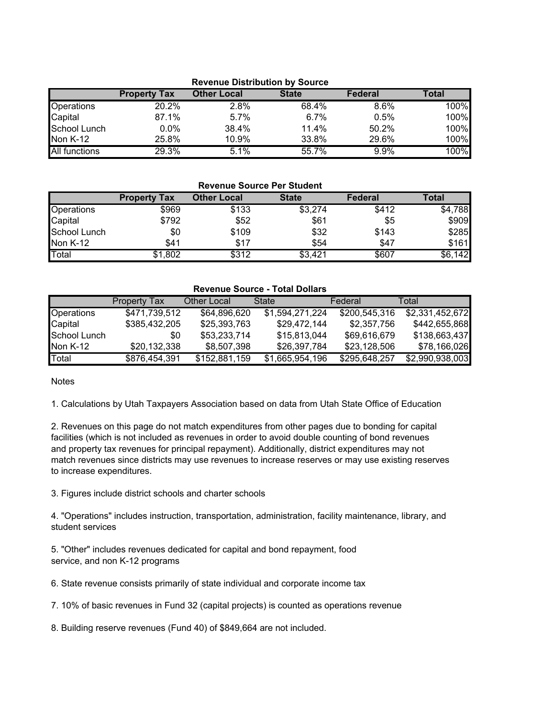| <b>Revenue Distribution by Source</b> |                     |                    |              |                |       |  |  |  |
|---------------------------------------|---------------------|--------------------|--------------|----------------|-------|--|--|--|
|                                       | <b>Property Tax</b> | <b>Other Local</b> | <b>State</b> | <b>Federal</b> | Total |  |  |  |
| <b>Operations</b>                     | 20.2%               | 2.8%               | 68.4%        | 8.6%           | 100%  |  |  |  |
| Capital                               | 87.1%               | 5.7%               | 6.7%         | 0.5%           | 100%  |  |  |  |
| School Lunch                          | $0.0\%$             | 38.4%              | 11.4%        | 50.2%          | 100%  |  |  |  |
| <b>Non K-12</b>                       | 25.8%               | 10.9%              | 33.8%        | 29.6%          | 100%  |  |  |  |
| <b>All functions</b>                  | 29.3%               | 5.1%               | 55.7%        | 9.9%           | 100%  |  |  |  |

| <b>Revenue Source Per Student</b> |                     |                    |              |                |              |  |  |  |  |  |
|-----------------------------------|---------------------|--------------------|--------------|----------------|--------------|--|--|--|--|--|
|                                   | <b>Property Tax</b> | <b>Other Local</b> | <b>State</b> | <b>Federal</b> | <b>Total</b> |  |  |  |  |  |
| Operations                        | \$969               | \$133              | \$3,274      | \$412          | \$4,788      |  |  |  |  |  |
| Capital                           | \$792               | \$52               | \$61         | \$5            | \$909        |  |  |  |  |  |
| School Lunch                      | \$0                 | \$109              | \$32         | \$143          | \$285        |  |  |  |  |  |
| Non K-12                          | \$41                | \$17               | \$54         | \$47           | \$161        |  |  |  |  |  |
| Total                             | \$1,802             | \$312              | \$3,421      | \$607          | \$6,142      |  |  |  |  |  |

| <b>Revenue Source - Total Dollars</b> |               |               |                 |               |                 |  |  |  |  |
|---------------------------------------|---------------|---------------|-----------------|---------------|-----------------|--|--|--|--|
|                                       | Property Tax  | Other Local   | State           | Federal       | Total           |  |  |  |  |
| Operations                            | \$471,739,512 | \$64,896,620  | \$1,594,271,224 | \$200,545,316 | \$2,331,452,672 |  |  |  |  |
| Capital                               | \$385,432,205 | \$25,393,763  | \$29,472,144    | \$2,357,756   | \$442,655,868   |  |  |  |  |
| School Lunch                          | \$0           | \$53,233,714  | \$15,813,044    | \$69,616,679  | \$138,663,437   |  |  |  |  |
| Non K-12                              | \$20,132,338  | \$8,507,398   | \$26,397,784    | \$23,128,506  | \$78,166,026    |  |  |  |  |
| Total                                 | \$876,454,391 | \$152,881,159 | \$1,665,954,196 | \$295,648,257 | \$2,990,938,003 |  |  |  |  |

**Notes** 

1. Calculations by Utah Taxpayers Association based on data from Utah State Office of Education

2. Revenues on this page do not match expenditures from other pages due to bonding for capital facilities (which is not included as revenues in order to avoid double counting of bond revenues and property tax revenues for principal repayment). Additionally, district expenditures may not match revenues since districts may use revenues to increase reserves or may use existing reserves to increase expenditures.

3. Figures include district schools and charter schools

4. "Operations" includes instruction, transportation, administration, facility maintenance, library, and student services

5. "Other" includes revenues dedicated for capital and bond repayment, food service, and non K-12 programs

6. State revenue consists primarily of state individual and corporate income tax

7. 10% of basic revenues in Fund 32 (capital projects) is counted as operations revenue

8. Building reserve revenues (Fund 40) of \$849,664 are not included.